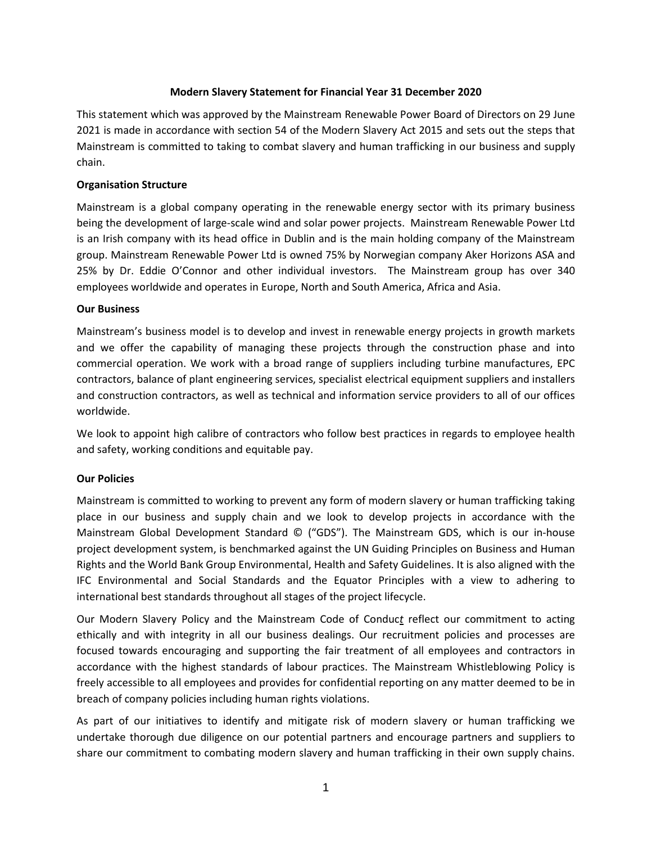### **Modern Slavery Statement for Financial Year 31 December 2020**

This statement which was approved by the Mainstream Renewable Power Board of Directors on 29 June 2021 is made in accordance with section 54 of the Modern Slavery Act 2015 and sets out the steps that Mainstream is committed to taking to combat slavery and human trafficking in our business and supply chain.

### **Organisation Structure**

Mainstream is a global company operating in the renewable energy sector with its primary business being the development of large-scale wind and solar power projects. Mainstream Renewable Power Ltd is an Irish company with its head office in Dublin and is the main holding company of the Mainstream group. Mainstream Renewable Power Ltd is owned 75% by Norwegian company Aker Horizons ASA and 25% by Dr. Eddie O'Connor and other individual investors. The Mainstream group has over 340 employees worldwide and operates in Europe, North and South America, Africa and Asia.

### **Our Business**

Mainstream's business model is to develop and invest in renewable energy projects in growth markets and we offer the capability of managing these projects through the construction phase and into commercial operation. We work with a broad range of suppliers including turbine manufactures, EPC contractors, balance of plant engineering services, specialist electrical equipment suppliers and installers and construction contractors, as well as technical and information service providers to all of our offices worldwide.

We look to appoint high calibre of contractors who follow best practices in regards to employee health and safety, working conditions and equitable pay.

# **Our Policies**

Mainstream is committed to working to prevent any form of modern slavery or human trafficking taking place in our business and supply chain and we look to develop projects in accordance with the Mainstream Global Development Standard © ("GDS"). The Mainstream GDS, which is our in-house project development system, is benchmarked against the UN Guiding Principles on Business and Human Rights and the World Bank Group Environmental, Health and Safety Guidelines. It is also aligned with the IFC Environmental and Social Standards and the Equator Principles with a view to adhering to international best standards throughout all stages of the project lifecycle.

Our Modern Slavery Policy and the [Mainstream Code of Conduc](https://www.mainstreamrp.com/f/50184/x/48a3bff6b6/2020-mainstream-group-code-of-conduct.pdf)*t* reflect our commitment to acting ethically and with integrity in all our business dealings. Our recruitment policies and processes are focused towards encouraging and supporting the fair treatment of all employees and contractors in accordance with the highest standards of labour practices. The Mainstream Whistleblowing Policy is freely accessible to all employees and provides for confidential reporting on any matter deemed to be in breach of company policies including human rights violations.

As part of our initiatives to identify and mitigate risk of modern slavery or human trafficking we undertake thorough due diligence on our potential partners and encourage partners and suppliers to share our commitment to combating modern slavery and human trafficking in their own supply chains.